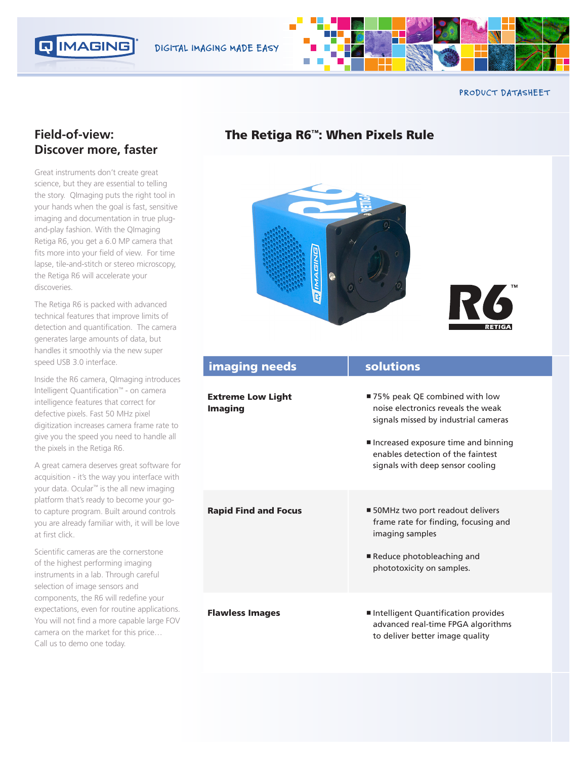



**PRODUCT DATASHEET**

## **Field-of-view: Discover more, faster**

Great instruments don't create great science, but they are essential to telling the story. QImaging puts the right tool in your hands when the goal is fast, sensitive imaging and documentation in true plugand-play fashion. With the QImaging Retiga R6, you get a 6.0 MP camera that fits more into your field of view. For time lapse, tile-and-stitch or stereo microscopy, the Retiga R6 will accelerate your discoveries.

The Retiga R6 is packed with advanced technical features that improve limits of detection and quantification. The camera generates large amounts of data, but handles it smoothly via the new super speed USB 3.0 interface.

Inside the R6 camera, QImaging introduces Intelligent Quantification™ - on camera intelligence features that correct for defective pixels. Fast 50 MHz pixel digitization increases camera frame rate to give you the speed you need to handle all the pixels in the Retiga R6.

A great camera deserves great software for acquisition - it's the way you interface with your data. Ocular™ is the all new imaging platform that's ready to become your goto capture program. Built around controls you are already familiar with, it will be love at first click.

Scientific cameras are the cornerstone of the highest performing imaging instruments in a lab. Through careful selection of image sensors and components, the R6 will redefine your expectations, even for routine applications. You will not find a more capable large FOV camera on the market for this price… Call us to demo one today.

# The Retiga R6™: When Pixels Rule





| <b>imaging needs</b>                       | solutions                                                                                                                                                                                                                     |
|--------------------------------------------|-------------------------------------------------------------------------------------------------------------------------------------------------------------------------------------------------------------------------------|
| <b>Extreme Low Light</b><br><b>Imaging</b> | ■ 75% peak QE combined with low<br>noise electronics reveals the weak<br>signals missed by industrial cameras<br>Increased exposure time and binning<br>enables detection of the faintest<br>signals with deep sensor cooling |
| <b>Rapid Find and Focus</b>                | ■ 50MHz two port readout delivers<br>frame rate for finding, focusing and<br>imaging samples<br>Reduce photobleaching and<br>phototoxicity on samples.                                                                        |
| <b>Flawless Images</b>                     | Intelligent Quantification provides<br>advanced real-time FPGA algorithms<br>to deliver better image quality                                                                                                                  |